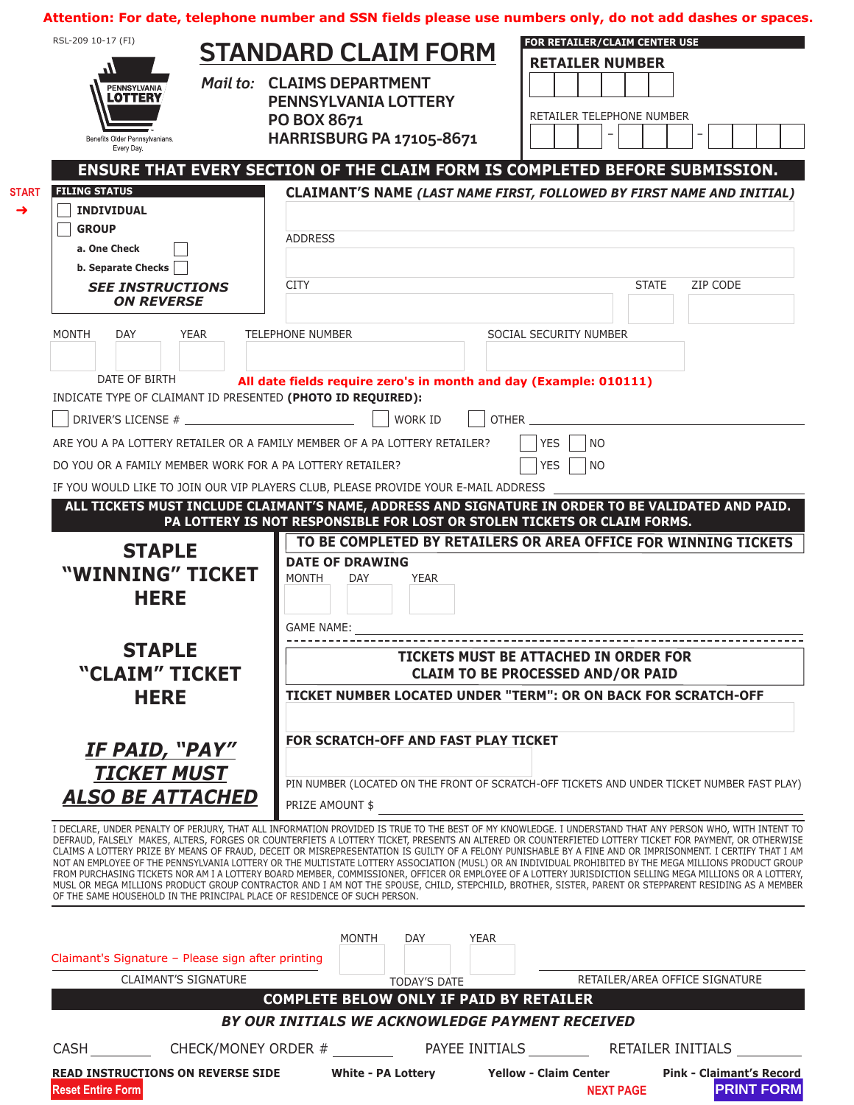**Attention: For date, telephone number and SSN fields please use numbers only, do not add dashes or spaces.**

| RSL-209 10-17 (FI)<br>M<br>PENNSYLVANIA<br><b>LOTTERY</b><br>Benefits Older Pennsylvanians.<br>Every Day.<br><b>FILING STATUS</b><br><b>START</b><br><b>INDIVIDUAL</b><br><b>GROUP</b><br>a. One Check<br>b. Separate Checks<br><b>SEE INSTRUCTIONS</b><br><b>ON REVERSE</b> | <b>STANDARD CLAIM FORM</b><br>Mail to: CLAIMS DEPARTMENT<br><b>PENNSYLVANIA LOTTERY</b><br>PO BOX 8671<br><b>HARRISBURG PA 17105-8671</b><br><b>ADDRESS</b><br><b>CITY</b> | FOR RETAILER/CLAIM CENTER USE<br><b>RETAILER NUMBER</b><br>RETAILER TELEPHONE NUMBER<br>ENSURE THAT EVERY SECTION OF THE CLAIM FORM IS COMPLETED BEFORE SUBMISSION.<br>CLAIMANT'S NAME (LAST NAME FIRST, FOLLOWED BY FIRST NAME AND INITIAL)<br>ZIP CODE<br><b>STATE</b>                                                                                                                                                                                                                                                                                                                                                                                                                                                                                                                                                                                                                                                                                       |
|------------------------------------------------------------------------------------------------------------------------------------------------------------------------------------------------------------------------------------------------------------------------------|----------------------------------------------------------------------------------------------------------------------------------------------------------------------------|----------------------------------------------------------------------------------------------------------------------------------------------------------------------------------------------------------------------------------------------------------------------------------------------------------------------------------------------------------------------------------------------------------------------------------------------------------------------------------------------------------------------------------------------------------------------------------------------------------------------------------------------------------------------------------------------------------------------------------------------------------------------------------------------------------------------------------------------------------------------------------------------------------------------------------------------------------------|
| <b>MONTH</b><br><b>DAY</b><br><b>YEAR</b>                                                                                                                                                                                                                                    | <b>TELEPHONE NUMBER</b>                                                                                                                                                    | SOCIAL SECURITY NUMBER                                                                                                                                                                                                                                                                                                                                                                                                                                                                                                                                                                                                                                                                                                                                                                                                                                                                                                                                         |
| DATE OF BIRTH                                                                                                                                                                                                                                                                | All date fields require zero's in month and day (Example: 010111)                                                                                                          |                                                                                                                                                                                                                                                                                                                                                                                                                                                                                                                                                                                                                                                                                                                                                                                                                                                                                                                                                                |
| INDICATE TYPE OF CLAIMANT ID PRESENTED (PHOTO ID REQUIRED):                                                                                                                                                                                                                  |                                                                                                                                                                            |                                                                                                                                                                                                                                                                                                                                                                                                                                                                                                                                                                                                                                                                                                                                                                                                                                                                                                                                                                |
|                                                                                                                                                                                                                                                                              | <b>WORK ID</b><br><b>OTHER</b>                                                                                                                                             |                                                                                                                                                                                                                                                                                                                                                                                                                                                                                                                                                                                                                                                                                                                                                                                                                                                                                                                                                                |
|                                                                                                                                                                                                                                                                              | ARE YOU A PA LOTTERY RETAILER OR A FAMILY MEMBER OF A PA LOTTERY RETAILER?                                                                                                 | <b>YES</b><br><b>NO</b>                                                                                                                                                                                                                                                                                                                                                                                                                                                                                                                                                                                                                                                                                                                                                                                                                                                                                                                                        |
| DO YOU OR A FAMILY MEMBER WORK FOR A PA LOTTERY RETAILER?                                                                                                                                                                                                                    |                                                                                                                                                                            | <b>YES</b><br><b>NO</b>                                                                                                                                                                                                                                                                                                                                                                                                                                                                                                                                                                                                                                                                                                                                                                                                                                                                                                                                        |
|                                                                                                                                                                                                                                                                              | IF YOU WOULD LIKE TO JOIN OUR VIP PLAYERS CLUB, PLEASE PROVIDE YOUR E-MAIL ADDRESS                                                                                         |                                                                                                                                                                                                                                                                                                                                                                                                                                                                                                                                                                                                                                                                                                                                                                                                                                                                                                                                                                |
|                                                                                                                                                                                                                                                                              | PA LOTTERY IS NOT RESPONSIBLE FOR LOST OR STOLEN TICKETS OR CLAIM FORMS.                                                                                                   | ALL TICKETS MUST INCLUDE CLAIMANT'S NAME, ADDRESS AND SIGNATURE IN ORDER TO BE VALIDATED AND PAID.                                                                                                                                                                                                                                                                                                                                                                                                                                                                                                                                                                                                                                                                                                                                                                                                                                                             |
| <b>STAPLE</b><br>"WINNING" TICKET<br><b>HERE</b><br><b>STAPLE</b><br>"CLAIM" TICKET                                                                                                                                                                                          | <b>DATE OF DRAWING</b><br><b>MONTH</b><br><b>YEAR</b><br>DAY<br><b>GAME NAME:</b>                                                                                          | TO BE COMPLETED BY RETAILERS OR AREA OFFICE FOR WINNING TICKETS<br>TICKETS MUST BE ATTACHED IN ORDER FOR<br><b>CLAIM TO BE PROCESSED AND/OR PAID</b>                                                                                                                                                                                                                                                                                                                                                                                                                                                                                                                                                                                                                                                                                                                                                                                                           |
| <b>HERE</b>                                                                                                                                                                                                                                                                  |                                                                                                                                                                            | TICKET NUMBER LOCATED UNDER "TERM": OR ON BACK FOR SCRATCH-OFF                                                                                                                                                                                                                                                                                                                                                                                                                                                                                                                                                                                                                                                                                                                                                                                                                                                                                                 |
| <u>IF PAID, "PAY"</u><br><b>TICKET MUST</b>                                                                                                                                                                                                                                  | FOR SCRATCH-OFF AND FAST PLAY TICKET                                                                                                                                       |                                                                                                                                                                                                                                                                                                                                                                                                                                                                                                                                                                                                                                                                                                                                                                                                                                                                                                                                                                |
| <b>ALSO BE ATTACHED</b>                                                                                                                                                                                                                                                      | PRIZE AMOUNT \$                                                                                                                                                            | PIN NUMBER (LOCATED ON THE FRONT OF SCRATCH-OFF TICKETS AND UNDER TICKET NUMBER FAST PLAY)                                                                                                                                                                                                                                                                                                                                                                                                                                                                                                                                                                                                                                                                                                                                                                                                                                                                     |
| OF THE SAME HOUSEHOLD IN THE PRINCIPAL PLACE OF RESIDENCE OF SUCH PERSON.                                                                                                                                                                                                    |                                                                                                                                                                            | I DECLARE, UNDER PENALTY OF PERJURY, THAT ALL INFORMATION PROVIDED IS TRUE TO THE BEST OF MY KNOWLEDGE. I UNDERSTAND THAT ANY PERSON WHO, WITH INTENT TO<br>DEFRAUD, FALSELY MAKES, ALTERS, FORGES OR COUNTERFIETS A LOTTERY TICKET, PRESENTS AN ALTERED OR COUNTERFIETED LOTTERY TICKET FOR PAYMENT, OR OTHERWISE<br>CLAIMS A LOTTERY PRIZE BY MEANS OF FRAUD, DECEIT OR MISREPRESENTATION IS GUILTY OF A FELONY PUNISHABLE BY A FINE AND OR IMPRISONMENT. I CERTIFY THAT I AM<br>NOT AN EMPLOYEE OF THE PENNSYLVANIA LOTTERY OR THE MULTISTATE LOTTERY ASSOCIATION (MUSL) OR AN INDIVIDUAL PROHIBITED BY THE MEGA MILLIONS PRODUCT GROUP<br>FROM PURCHASING TICKETS NOR AM I A LOTTERY BOARD MEMBER, COMMISSIONER, OFFICER OR EMPLOYEE OF A LOTTERY JURISDICTION SELLING MEGA MILLIONS OR A LOTTERY,<br>MUSL OR MEGA MILLIONS PRODUCT GROUP CONTRACTOR AND I AM NOT THE SPOUSE, CHILD, STEPCHILD, BROTHER, SISTER, PARENT OR STEPPARENT RESIDING AS A MEMBER |
|                                                                                                                                                                                                                                                                              | MONTH<br>DAY<br>YEAR                                                                                                                                                       |                                                                                                                                                                                                                                                                                                                                                                                                                                                                                                                                                                                                                                                                                                                                                                                                                                                                                                                                                                |
| Claimant's Signature - Please sign after printing                                                                                                                                                                                                                            |                                                                                                                                                                            |                                                                                                                                                                                                                                                                                                                                                                                                                                                                                                                                                                                                                                                                                                                                                                                                                                                                                                                                                                |
| <b>CLAIMANT'S SIGNATURE</b>                                                                                                                                                                                                                                                  | TODAY'S DATE                                                                                                                                                               | RETAILER/AREA OFFICE SIGNATURE                                                                                                                                                                                                                                                                                                                                                                                                                                                                                                                                                                                                                                                                                                                                                                                                                                                                                                                                 |
| <b>COMPLETE BELOW ONLY IF PAID BY RETAILER</b><br>BY OUR INITIALS WE ACKNOWLEDGE PAYMENT RECEIVED                                                                                                                                                                            |                                                                                                                                                                            |                                                                                                                                                                                                                                                                                                                                                                                                                                                                                                                                                                                                                                                                                                                                                                                                                                                                                                                                                                |
|                                                                                                                                                                                                                                                                              |                                                                                                                                                                            |                                                                                                                                                                                                                                                                                                                                                                                                                                                                                                                                                                                                                                                                                                                                                                                                                                                                                                                                                                |
|                                                                                                                                                                                                                                                                              | CASH _____________ CHECK/MONEY ORDER # ___________ PAYEE INITIALS ___________ RETAILER INITIALS __                                                                         |                                                                                                                                                                                                                                                                                                                                                                                                                                                                                                                                                                                                                                                                                                                                                                                                                                                                                                                                                                |
| <b>Reset Entire Form</b>                                                                                                                                                                                                                                                     | READ INSTRUCTIONS ON REVERSE SIDE White - PA Lottery Yellow - Claim Center                                                                                                 | <b>Pink - Claimant's Record</b><br><b>PRINT FORM</b><br><b>NEXT PAGE</b>                                                                                                                                                                                                                                                                                                                                                                                                                                                                                                                                                                                                                                                                                                                                                                                                                                                                                       |